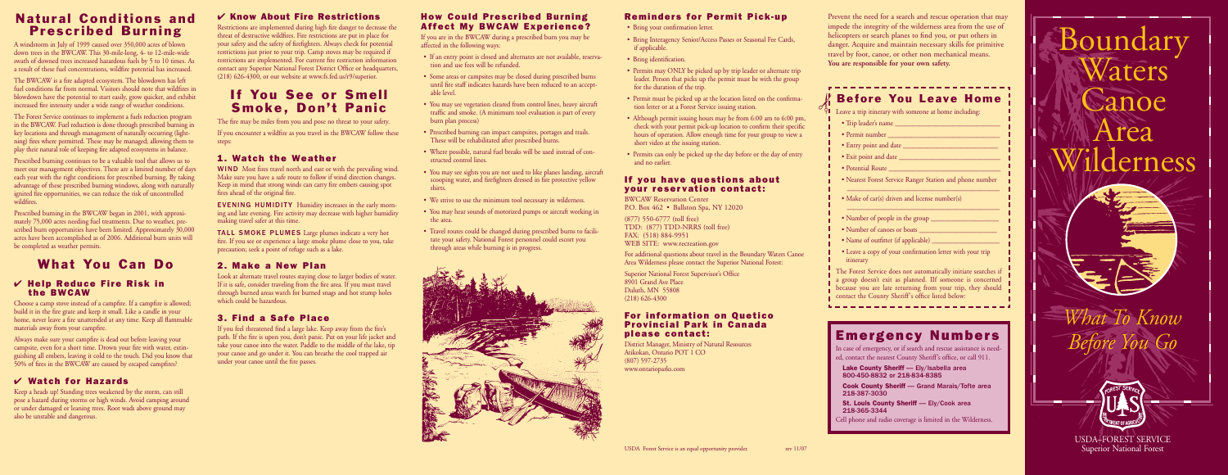

• Permits may ONLY be picked up by trip leader or alternate trip leader. Person that picks up the permit must be with the group

## **Reminders for Permit Pick-up**

• Bring Interagency Senior/Access Passes or Seasonal Fee Cards,

• Permit must be picked up at the location listed on the confirma-

- Bring your confirmation letter.
- if applicable.
- Bring identification.
- for the duration of the trip.
- tion letter or at a Forest Service issuing station.
- short video at the issuing station.
- and no earlier.

• Although permit issuing hours may be from 6:00 am to 6:00 pm, check with your permit pick-up location to confirm their specific hours of operation. Allow enough time for your group to view a

• Permits can only be picked up the day before or the day of entry

#### **If you have questions about your reservation contact:**

BWCAW Reservation Center P.O. Box 462 • Ballston Spa, NY 12020

(877) 550-6777 (toll free) TDD: (877) TDD-NRRS (toll free) FAX: (518) 884-9951 WEB SITE: www.recreation.gov

For additional questions about travel in the Boundary Waters Canoe Area Wilderness please contact the Superior National Forest:

Superior National Forest Supervisor's Office 8901 Grand Ave Place Duluth, MN 55808 (218) 626-4300

#### **For information on Quetico Provincial Park in Canada please contact:**

District Manager, Ministry of Natural Resources Atikokan, Ontario POT 1 CO (807) 597-2735 www.ontarioparks.com

## **Natural Conditions and Prescribed Burning**

A windstorm in July of 1999 caused over 350,000 acres of blown down trees in the BWCAW. This 30-mile-long, 4- to 12-mile-wide swath of downed trees increased hazardous fuels by 5 to 10 times. As a result of these fuel concentrations, wildfire potential has increased.

The BWCAW is a fire adapted ecosystem. The blowdown has left fuel conditions far from normal. Visitors should note that wildfires in blowdown have the potential to start easily, grow quicker, and exhibit increased fire intensity under a wide range of weather conditions.

# **If You See or Smell Smoke, Don't Panic**

The Forest Service continues to implement a fuels reduction program in the BWCAW. Fuel reduction is done through prescribed burning in key locations and through management of naturally occurring (lightning) fires where permitted. These may be managed; allowing them to play their natural role of keeping fire adapted ecosystems in balance.

> WIND Most fires travel north and east or with the prevailing wind. Make sure you have a safe route to follow if wind direction changes. Keep in mind that strong winds can carry fire embers causing spot fires ahead of the original fire.

Prescribed burning continues to be a valuable tool that allows us to meet our management objectives. There are a limited number of days each year with the right conditions for prescribed burning. By taking advantage of these prescribed burning windows, along with naturally ignited fire opportunities, we can reduce the risk of uncontrolled wildfires.

Prescribed burning in the BWCAW began in 2001, with approximately 75,000 acres needing fuel treatments. Due to weather, prescribed burn opportunities have been limited. Approximately  $30,000$ acres have been accomplished as of 2006. Additional burn units will be completed as weather permits.

# **What You Can Do**

#### ✔ **Help Reduce Fire Risk in the BWCAW**

Choose a camp stove instead of a campfire. If a campfire is allowed; build it in the fire grate and keep it small. Like a candle in your home, never leave a fire unattended at any time. Keep all flammable materials away from your campfire.

Always make sure your campfire is dead out before leaving your campsite, even for a short time. Drown your fire with water, extinguishing all embers, leaving it cold to the touch. Did you know that 50% of fires in the BWCAW are caused by escaped campfires?

## ✔ **Watch for Hazards**

- Trip leader's name
- Permit number  $\qquad \qquad$   $\qquad \qquad$   $\qquad \qquad$   $\qquad$   $\qquad$   $\qquad$   $\qquad$   $\qquad$   $\qquad$   $\qquad$   $\qquad$   $\qquad$   $\qquad$   $\qquad$   $\qquad$   $\qquad$   $\qquad$   $\qquad$   $\qquad$   $\qquad$   $\qquad$   $\qquad$   $\qquad$   $\qquad$   $\qquad$   $\qquad$   $\qquad$   $\qquad$   $\qquad$   $\qquad$   $\qquad$   $\qquad$   $\qquad$
- Entry point and date  $\frac{1}{\sqrt{2\pi}}$
- Exit point and date \_\_\_\_\_\_\_\_\_\_\_\_\_\_\_\_\_\_\_\_\_\_\_\_\_\_\_\_\_\_
- Potential Route
- Nearest Forest Service Ranger Station and phone number \_\_\_\_\_\_\_\_\_\_\_\_\_\_\_\_\_\_\_\_\_\_\_\_\_\_\_\_\_\_\_\_\_\_\_\_\_\_\_\_\_\_\_\_\_

Keep a heads up! Standing trees weakened by the storm, can still pose a hazard during storms or high winds. Avoid camping around or under damaged or leaning trees. Root wads above ground may also be unstable and dangerous.

- Make of car(s) driven and license number(s)
- Number of people in the group \_\_\_\_\_\_\_\_\_\_\_\_\_\_\_\_\_\_\_\_
- Number of canoes or boats \_\_\_\_\_\_\_\_\_\_\_\_\_\_\_\_\_\_\_\_\_\_\_
- Name of outfitter (if applicable) \_\_\_\_\_\_\_\_\_\_\_\_\_\_\_\_\_\_\_\_
- Leave a copy of your confirmation letter with your trip itinerary

The Forest Service does not automatically initiate searches if a group doesn't exit as planned. IIf someone is concerned because you are late returning from your trip, they should contact the County Sheriff's office listed below:

## ✔ **Know About Fire Restrictions**

Restrictions are implemented during high fire danger to decrease the threat of destructive wildfires. Fire restrictions are put in place for your safety and the safety of firefighters. Always check for potential restrictions just prior to your trip. Camp stoves may be required if restrictions are implemented. For current fire restriction information contact any Superior National Forest District Office or headquarters, (218) 626-4300, or our website at www.fs.fed.us/r9/superior.

> **St. Louis County Sheriff — Ely/Cook area** 218-365-3344

The fire may be miles from you and pose no threat to your safety. If you encounter a wildfire as you travel in the BWCAW follow these steps:

## **1. Watch the Weather**

EVENING HUMIDITY Humidity increases in the early morning and late evening. Fire activity may decrease with higher humidity making travel safer at this time.

TALL SMOKE PLUMES Large plumes indicate a very hot fire. If you see or experience a large smoke plume close to you, take precaution; seek a point of refuge such as a lake.

## **2. Make a New Plan**

Look at alternate travel routes staying close to larger bodies of water. If it is safe, consider traveling from the fire area. If you must travel through burned areas watch for burned snags and hot stump holes which could be hazardous.

## **3. Find a Safe Place**

If you feel threatened find a large lake. Keep away from the fire's path. If the fire is upon you, don't panic. Put on your life jacket and take your canoe into the water. Paddle to the middle of the lake, tip your canoe and go under it. You can breathe the cool trapped air under your canoe until the fire passes.

#### **How Could Prescribed Burning Affect My BWCAW Experience?**

If you are in the BWCAW during a prescribed burn you may be affected in the following ways:

- If an entry point is closed and alternates are not available, reservation and use fees will be refunded.
- Some areas or campsites may be closed during prescribed burns until fire staff indicates hazards have been reduced to an acceptable level.
- You may see vegetation cleared from control lines, heavy aircraft traffic and smoke. (A minimum tool evaluation is part of every burn plan process)
- Prescribed burning can impact campsites, portages and trails. These will be rehabilitated after prescribed burns.
- Where possible, natural fuel breaks will be used instead of constructed control lines.
- You may see sights you are not used to like planes landing, aircraft scooping water, and firefighters dressed in fire protective yellow shirts.
- We strive to use the minimum tool necessary in wilderness.
- You may hear sounds of motorized pumps or aircraft working in the area.
- Travel routes could be changed during prescribed burns to facilitate your safety. National Forest personnel could escort you through areas while burning is in progress.



\_\_\_\_\_\_\_\_\_\_\_\_\_\_\_\_\_\_\_\_\_\_\_\_\_\_\_\_\_\_\_\_\_\_\_\_\_\_\_\_\_\_\_\_\_

Prevent the need for a search and rescue operation that may impede the integrity of the wilderness area from the use of helicopters or search planes to find you, or put others in danger. Acquire and maintain necessary skills for primitive travel by foot, canoe, or other non mechanical means. **You are responsible for your own safety.**

# **Before You Leave Home**

 $\forall \blacksquare$  Leave a trip itinerary with someone at home including:

## **Emergency Numbers**

In case of emergency, or if search and rescue assistance is needed, contact the nearest County Sheriff's office, or call 911.

**Lake County Sheriff** — Ely/Isabella area 800-450-8832 or 218-834-8385

**Cook County Sheriff** — Grand Marais/Tofte area 218-387-3030

Cell phone and radio coverage is limited in the Wilderness.